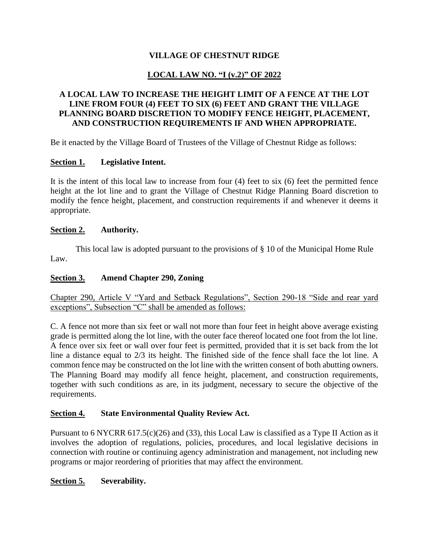## **VILLAGE OF CHESTNUT RIDGE**

# **LOCAL LAW NO. "I (v.2)" OF 2022**

### **A LOCAL LAW TO INCREASE THE HEIGHT LIMIT OF A FENCE AT THE LOT LINE FROM FOUR (4) FEET TO SIX (6) FEET AND GRANT THE VILLAGE PLANNING BOARD DISCRETION TO MODIFY FENCE HEIGHT, PLACEMENT, AND CONSTRUCTION REQUIREMENTS IF AND WHEN APPROPRIATE.**

Be it enacted by the Village Board of Trustees of the Village of Chestnut Ridge as follows:

### **Section 1. Legislative Intent.**

It is the intent of this local law to increase from four (4) feet to six (6) feet the permitted fence height at the lot line and to grant the Village of Chestnut Ridge Planning Board discretion to modify the fence height, placement, and construction requirements if and whenever it deems it appropriate.

#### **Section 2. Authority.**

This local law is adopted pursuant to the provisions of § 10 of the Municipal Home Rule Law.

### **Section 3. Amend Chapter 290, Zoning**

Chapter 290, Article V "Yard and Setback Regulations", Section 290-18 "Side and rear yard exceptions", Subsection "C" shall be amended as follows:

C. A fence not more than six feet or wall not more than four feet in height above average existing grade is permitted along the lot line, with the outer face thereof located one foot from the lot line. A fence over six feet or wall over four feet is permitted, provided that it is set back from the lot line a distance equal to 2/3 its height. The finished side of the fence shall face the lot line. A common fence may be constructed on the lot line with the written consent of both abutting owners. The Planning Board may modify all fence height, placement, and construction requirements, together with such conditions as are, in its judgment, necessary to secure the objective of the requirements.

#### **Section 4. State Environmental Quality Review Act.**

Pursuant to 6 NYCRR 617.5(c)(26) and (33), this Local Law is classified as a Type II Action as it involves the adoption of regulations, policies, procedures, and local legislative decisions in connection with routine or continuing agency administration and management, not including new programs or major reordering of priorities that may affect the environment.

**Section 5. Severability.**